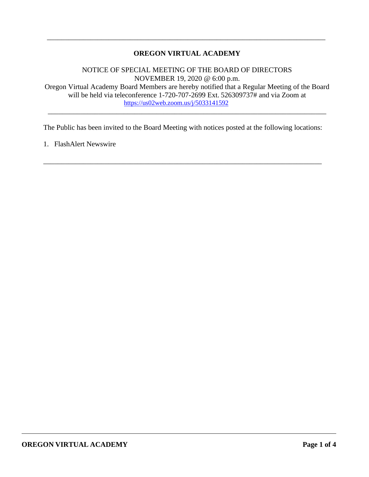# **OREGON VIRTUAL ACADEMY**

\_\_\_\_\_\_\_\_\_\_\_\_\_\_\_\_\_\_\_\_\_\_\_\_\_\_\_\_\_\_\_\_\_\_\_\_\_\_\_\_\_\_\_\_\_\_\_\_\_\_\_\_\_\_\_\_\_\_\_\_\_\_\_\_\_\_\_\_\_\_\_\_\_\_\_\_\_

NOTICE OF SPECIAL MEETING OF THE BOARD OF DIRECTORS NOVEMBER 19, 2020 @ 6:00 p.m. Oregon Virtual Academy Board Members are hereby notified that a Regular Meeting of the Board will be held via teleconference 1-720-707-2699 Ext. 526309737# and via Zoom at <https://us02web.zoom.us/j/5033141592>

\_\_\_\_\_\_\_\_\_\_\_\_\_\_\_\_\_\_\_\_\_\_\_\_\_\_\_\_\_\_\_\_\_\_\_\_\_\_\_\_\_\_\_\_\_\_\_\_\_\_\_\_\_\_\_\_\_\_\_\_\_\_\_\_\_\_\_\_\_\_\_\_\_\_\_\_\_

The Public has been invited to the Board Meeting with notices posted at the following locations:

\_\_\_\_\_\_\_\_\_\_\_\_\_\_\_\_\_\_\_\_\_\_\_\_\_\_\_\_\_\_\_\_\_\_\_\_\_\_\_\_\_\_\_\_\_\_\_\_\_\_\_\_\_\_\_\_\_\_\_\_\_\_\_\_\_\_\_\_\_\_\_\_\_\_\_\_\_

1. FlashAlert Newswire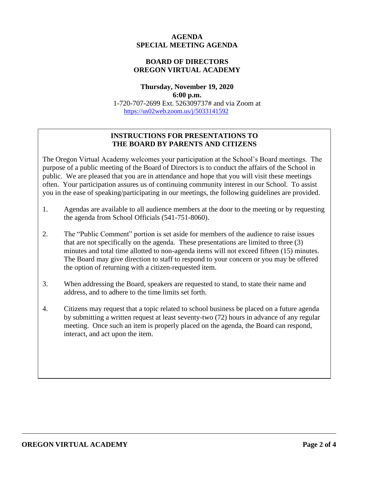## **AGENDA SPECIAL MEETING AGENDA**

# **BOARD OF DIRECTORS OREGON VIRTUAL ACADEMY**

### **Thursday, November 19, 2020 6:00 p.m.** 1-720-707-2699 Ext. 526309737# and via Zoom at <https://us02web.zoom.us/j/5033141592>

## **INSTRUCTIONS FOR PRESENTATIONS TO THE BOARD BY PARENTS AND CITIZENS**

The Oregon Virtual Academy welcomes your participation at the School's Board meetings. The purpose of a public meeting of the Board of Directors is to conduct the affairs of the School in public. We are pleased that you are in attendance and hope that you will visit these meetings often. Your participation assures us of continuing community interest in our School. To assist you in the ease of speaking/participating in our meetings, the following guidelines are provided.

- 1. Agendas are available to all audience members at the door to the meeting or by requesting the agenda from School Officials (541-751-8060).
- 2. The "Public Comment" portion is set aside for members of the audience to raise issues that are not specifically on the agenda. These presentations are limited to three (3) minutes and total time allotted to non-agenda items will not exceed fifteen (15) minutes. The Board may give direction to staff to respond to your concern or you may be offered the option of returning with a citizen-requested item.
- 3. When addressing the Board, speakers are requested to stand, to state their name and address, and to adhere to the time limits set forth.
- 4. Citizens may request that a topic related to school business be placed on a future agenda by submitting a written request at least seventy-two (72) hours in advance of any regular meeting. Once such an item is properly placed on the agenda, the Board can respond, interact, and act upon the item.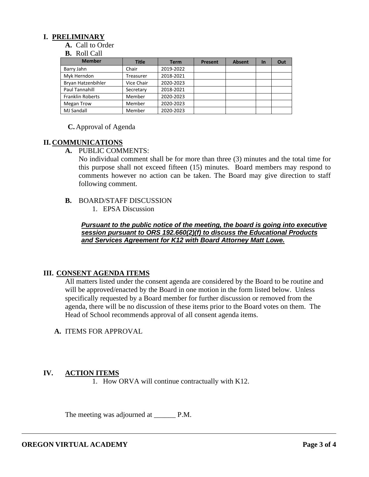# **I. PRELIMINARY**

**A.** Call to Order

#### **B.** Roll Call

| <b>Member</b>           | <b>Title</b> | <b>Term</b> | Present | <b>Absent</b> | <b>In</b> | Out |
|-------------------------|--------------|-------------|---------|---------------|-----------|-----|
| Barry Jahn              | Chair        | 2019-2022   |         |               |           |     |
| Myk Herndon             | Treasurer    | 2018-2021   |         |               |           |     |
| Bryan Hatzenbihler      | Vice Chair   | 2020-2023   |         |               |           |     |
| Paul Tannahill          | Secretary    | 2018-2021   |         |               |           |     |
| <b>Franklin Roberts</b> | Member       | 2020-2023   |         |               |           |     |
| <b>Megan Trow</b>       | Member       | 2020-2023   |         |               |           |     |
| <b>MJ Sandall</b>       | Member       | 2020-2023   |         |               |           |     |

### **C.** Approval of Agenda

## **II. COMMUNICATIONS**

**A.** PUBLIC COMMENTS:

No individual comment shall be for more than three (3) minutes and the total time for this purpose shall not exceed fifteen (15) minutes. Board members may respond to comments however no action can be taken. The Board may give direction to staff following comment.

### **B.** BOARD/STAFF DISCUSSION

1. EPSA Discussion

*Pursuant to the public notice of the meeting, the board is going into executive session pursuant to ORS 192.660(2)(f) to discuss the Educational Products and Services Agreement for K12 with Board Attorney Matt Lowe.*

# **III. CONSENT AGENDA ITEMS**

All matters listed under the consent agenda are considered by the Board to be routine and will be approved/enacted by the Board in one motion in the form listed below. Unless specifically requested by a Board member for further discussion or removed from the agenda, there will be no discussion of these items prior to the Board votes on them. The Head of School recommends approval of all consent agenda items.

**A.** ITEMS FOR APPROVAL

# **IV. ACTION ITEMS**

1. How ORVA will continue contractually with K12.

The meeting was adjourned at P.M.